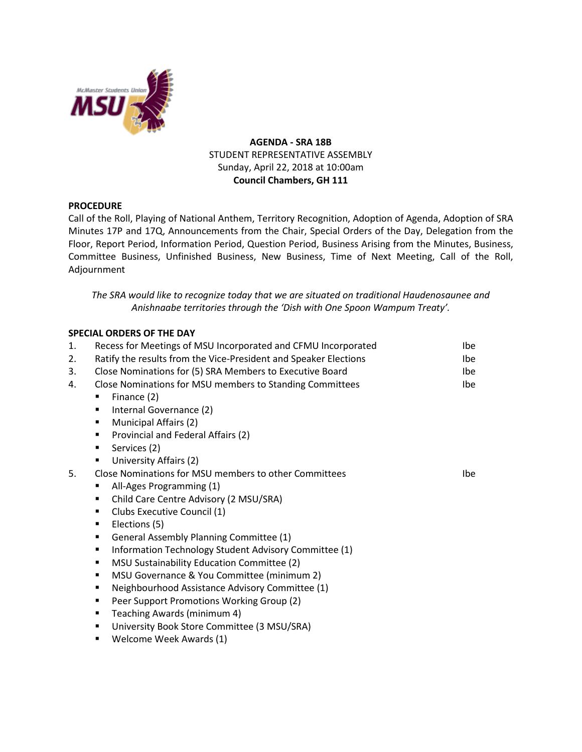

# **AGENDA - SRA 18B** STUDENT REPRESENTATIVE ASSEMBLY Sunday, April 22, 2018 at 10:00am **Council Chambers, GH 111**

# **PROCEDURE**

Call of the Roll, Playing of National Anthem, Territory Recognition, Adoption of Agenda, Adoption of SRA Minutes 17P and 17Q, Announcements from the Chair, Special Orders of the Day, Delegation from the Floor, Report Period, Information Period, Question Period, Business Arising from the Minutes, Business, Committee Business, Unfinished Business, New Business, Time of Next Meeting, Call of the Roll, Adjournment

*The SRA would like to recognize today that we are situated on traditional Haudenosaunee and Anishnaabe territories through the 'Dish with One Spoon Wampum Treaty'.*

# **SPECIAL ORDERS OF THE DAY**

| 1. | Recess for Meetings of MSU Incorporated and CFMU Incorporated    | Ibe        |
|----|------------------------------------------------------------------|------------|
| 2. | Ratify the results from the Vice-President and Speaker Elections | Ibe        |
| 3. | Close Nominations for (5) SRA Members to Executive Board         | lbe.       |
| 4. | Close Nominations for MSU members to Standing Committees         | Ibe        |
|    | Finance (2)                                                      |            |
|    | Internal Governance (2)<br>٠                                     |            |
|    | Municipal Affairs (2)<br>٠                                       |            |
|    | Provincial and Federal Affairs (2)<br>٠                          |            |
|    | Services (2)<br>٠                                                |            |
|    | University Affairs (2)<br>٠                                      |            |
| 5. | Close Nominations for MSU members to other Committees            | <b>Ibe</b> |
|    | All-Ages Programming (1)<br>п                                    |            |
|    | Child Care Centre Advisory (2 MSU/SRA)<br>٠                      |            |
|    | Clubs Executive Council (1)<br>٠                                 |            |
|    | Elections (5)<br>٠                                               |            |
|    | General Assembly Planning Committee (1)<br>٠                     |            |
|    | Information Technology Student Advisory Committee (1)<br>٠       |            |
|    | MSU Sustainability Education Committee (2)<br>٠                  |            |
|    | MSU Governance & You Committee (minimum 2)<br>٠                  |            |
|    | Neighbourhood Assistance Advisory Committee (1)<br>٠             |            |
|    | Peer Support Promotions Working Group (2)<br>٠                   |            |
|    | Teaching Awards (minimum 4)<br>٠                                 |            |
|    | University Book Store Committee (3 MSU/SRA)<br>٠                 |            |
|    | Welcome Week Awards (1)<br>٠                                     |            |
|    |                                                                  |            |
|    |                                                                  |            |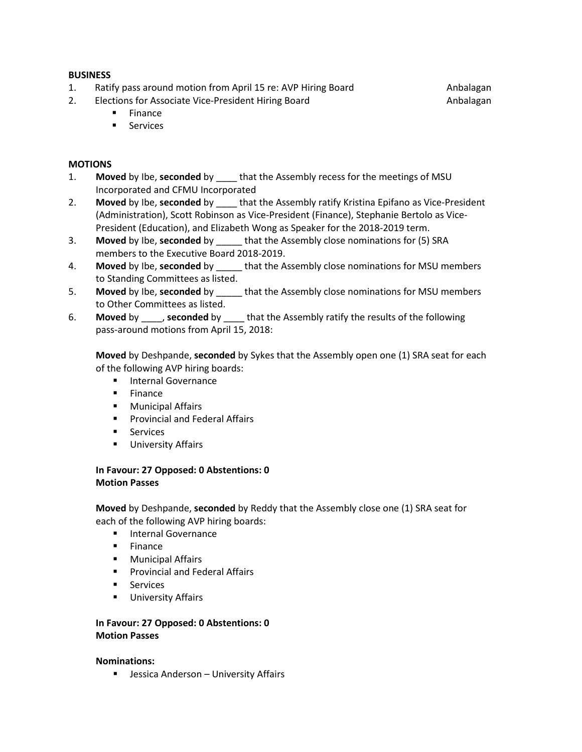# **BUSINESS**

- 1. Ratify pass around motion from April 15 re: AVP Hiring Board **Andalagan**
- 2. Elections for Associate Vice-President Hiring Board

Anbalagan

- **Finance**
- **Services**

# **MOTIONS**

- 1. **Moved** by Ibe, **seconded** by \_\_\_\_ that the Assembly recess for the meetings of MSU Incorporated and CFMU Incorporated
- 2. **Moved** by Ibe, **seconded** by \_\_\_\_ that the Assembly ratify Kristina Epifano as Vice-President (Administration), Scott Robinson as Vice-President (Finance), Stephanie Bertolo as Vice-President (Education), and Elizabeth Wong as Speaker for the 2018-2019 term.
- 3. **Moved** by Ibe, **seconded** by \_\_\_\_\_ that the Assembly close nominations for (5) SRA members to the Executive Board 2018-2019.
- 4. **Moved** by Ibe, **seconded** by \_\_\_\_\_ that the Assembly close nominations for MSU members to Standing Committees as listed.
- 5. **Moved** by Ibe, **seconded** by \_\_\_\_\_ that the Assembly close nominations for MSU members to Other Committees as listed.
- 6. **Moved** by \_\_\_\_, **seconded** by \_\_\_\_ that the Assembly ratify the results of the following pass-around motions from April 15, 2018:

**Moved** by Deshpande, **seconded** by Sykes that the Assembly open one (1) SRA seat for each of the following AVP hiring boards:

- **Internal Governance**
- $F$  Finance
- Municipal Affairs
- **Provincial and Federal Affairs**
- Services
- University Affairs

# **In Favour: 27 Opposed: 0 Abstentions: 0 Motion Passes**

**Moved** by Deshpande, **seconded** by Reddy that the Assembly close one (1) SRA seat for each of the following AVP hiring boards:

- **Internal Governance**
- $F$  Finance
- **Municipal Affairs**
- Provincial and Federal Affairs
- **Services**
- **University Affairs**

# **In Favour: 27 Opposed: 0 Abstentions: 0 Motion Passes**

# **Nominations:**

**E** Jessica Anderson - University Affairs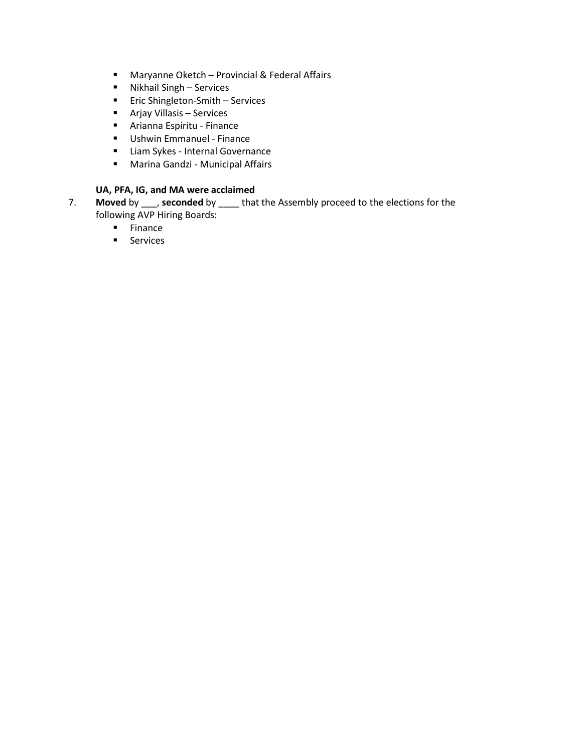- Maryanne Oketch Provincial & Federal Affairs
- Nikhail Singh Services
- **Exercise Shingleton-Smith Services**
- Arjay Villasis Services
- Arianna Espíritu Finance
- **Ushwin Emmanuel Finance**
- **E** Liam Sykes Internal Governance
- Marina Gandzi Municipal Affairs

# **UA, PFA, IG, and MA were acclaimed**

- 7. **Moved** by \_\_\_, **seconded** by \_\_\_\_ that the Assembly proceed to the elections for the following AVP Hiring Boards:
	- **Finance**
	- **Services**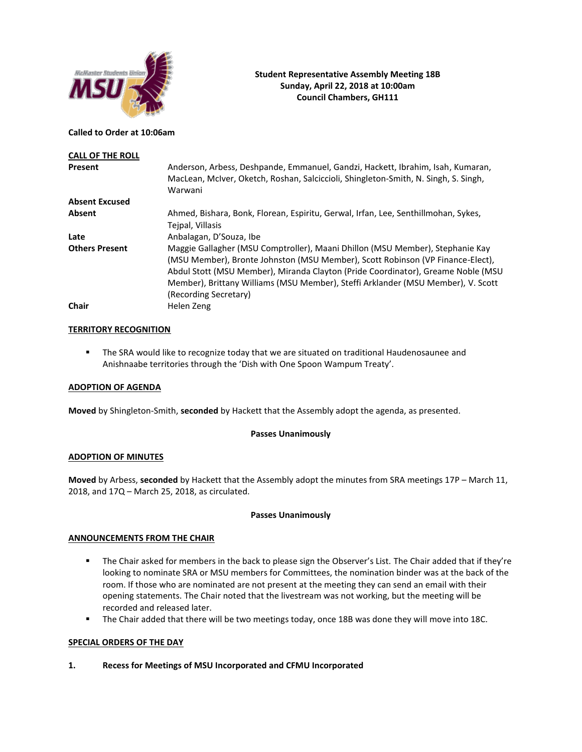

### **Called to Order at 10:06am**

| <b>CALL OF THE ROLL</b> |                                                                                                                                                                                                                                                                                                                                                                  |
|-------------------------|------------------------------------------------------------------------------------------------------------------------------------------------------------------------------------------------------------------------------------------------------------------------------------------------------------------------------------------------------------------|
| Present                 | Anderson, Arbess, Deshpande, Emmanuel, Gandzi, Hackett, Ibrahim, Isah, Kumaran,<br>MacLean, McIver, Oketch, Roshan, Salciccioli, Shingleton-Smith, N. Singh, S. Singh,<br>Warwani                                                                                                                                                                                |
| <b>Absent Excused</b>   |                                                                                                                                                                                                                                                                                                                                                                  |
| Absent                  | Ahmed, Bishara, Bonk, Florean, Espiritu, Gerwal, Irfan, Lee, Senthillmohan, Sykes,<br>Teipal, Villasis                                                                                                                                                                                                                                                           |
| Late                    | Anbalagan, D'Souza, Ibe                                                                                                                                                                                                                                                                                                                                          |
| <b>Others Present</b>   | Maggie Gallagher (MSU Comptroller), Maani Dhillon (MSU Member), Stephanie Kay<br>(MSU Member), Bronte Johnston (MSU Member), Scott Robinson (VP Finance-Elect),<br>Abdul Stott (MSU Member), Miranda Clayton (Pride Coordinator), Greame Noble (MSU<br>Member), Brittany Williams (MSU Member), Steffi Arklander (MSU Member), V. Scott<br>(Recording Secretary) |
| Chair                   | Helen Zeng                                                                                                                                                                                                                                                                                                                                                       |

## **TERRITORY RECOGNITION**

**■** The SRA would like to recognize today that we are situated on traditional Haudenosaunee and Anishnaabe territories through the 'Dish with One Spoon Wampum Treaty'.

### **ADOPTION OF AGENDA**

**Moved** by Shingleton-Smith, **seconded** by Hackett that the Assembly adopt the agenda, as presented.

## **Passes Unanimously**

### **ADOPTION OF MINUTES**

**Moved** by Arbess, **seconded** by Hackett that the Assembly adopt the minutes from SRA meetings 17P – March 11, 2018, and 17Q – March 25, 2018, as circulated.

### **Passes Unanimously**

### **ANNOUNCEMENTS FROM THE CHAIR**

- The Chair asked for members in the back to please sign the Observer's List. The Chair added that if they're looking to nominate SRA or MSU members for Committees, the nomination binder was at the back of the room. If those who are nominated are not present at the meeting they can send an email with their opening statements. The Chair noted that the livestream was not working, but the meeting will be recorded and released later.
- The Chair added that there will be two meetings today, once 18B was done they will move into 18C.

## **SPECIAL ORDERS OF THE DAY**

**1. Recess for Meetings of MSU Incorporated and CFMU Incorporated**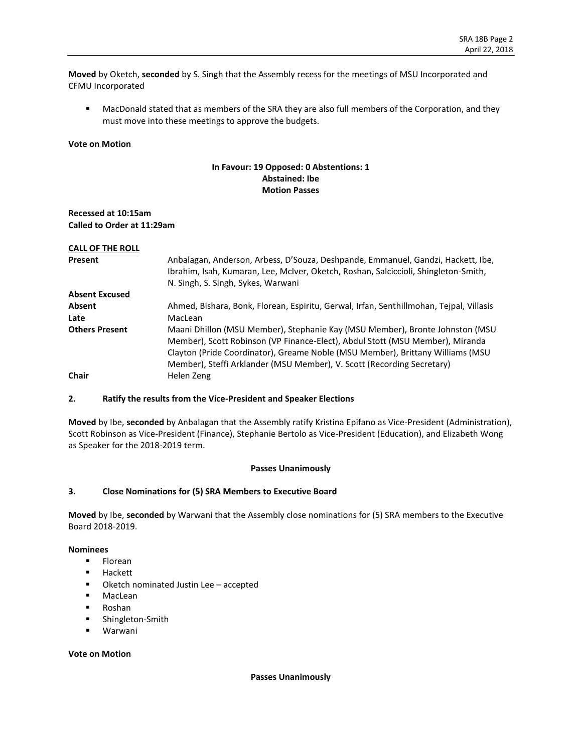**Moved** by Oketch, **seconded** by S. Singh that the Assembly recess for the meetings of MSU Incorporated and CFMU Incorporated

■ MacDonald stated that as members of the SRA they are also full members of the Corporation, and they must move into these meetings to approve the budgets.

### **Vote on Motion**

# **In Favour: 19 Opposed: 0 Abstentions: 1 Abstained: Ibe Motion Passes**

## **Recessed at 10:15am Called to Order at 11:29am**

| <b>CALL OF THE ROLL</b> |                                                                                                                                                                                                                                                                                                                           |
|-------------------------|---------------------------------------------------------------------------------------------------------------------------------------------------------------------------------------------------------------------------------------------------------------------------------------------------------------------------|
| Present                 | Anbalagan, Anderson, Arbess, D'Souza, Deshpande, Emmanuel, Gandzi, Hackett, Ibe,<br>Ibrahim, Isah, Kumaran, Lee, McIver, Oketch, Roshan, Salciccioli, Shingleton-Smith,                                                                                                                                                   |
|                         | N. Singh, S. Singh, Sykes, Warwani                                                                                                                                                                                                                                                                                        |
| <b>Absent Excused</b>   |                                                                                                                                                                                                                                                                                                                           |
| <b>Absent</b>           | Ahmed, Bishara, Bonk, Florean, Espiritu, Gerwal, Irfan, Senthillmohan, Tejpal, Villasis                                                                                                                                                                                                                                   |
| Late                    | MacLean                                                                                                                                                                                                                                                                                                                   |
| <b>Others Present</b>   | Maani Dhillon (MSU Member), Stephanie Kay (MSU Member), Bronte Johnston (MSU<br>Member), Scott Robinson (VP Finance-Elect), Abdul Stott (MSU Member), Miranda<br>Clayton (Pride Coordinator), Greame Noble (MSU Member), Brittany Williams (MSU<br>Member), Steffi Arklander (MSU Member), V. Scott (Recording Secretary) |
| Chair                   | Helen Zeng                                                                                                                                                                                                                                                                                                                |

### **2. Ratify the results from the Vice-President and Speaker Elections**

**Moved** by Ibe, **seconded** by Anbalagan that the Assembly ratify Kristina Epifano as Vice-President (Administration), Scott Robinson as Vice-President (Finance), Stephanie Bertolo as Vice-President (Education), and Elizabeth Wong as Speaker for the 2018-2019 term.

### **Passes Unanimously**

## **3. Close Nominations for (5) SRA Members to Executive Board**

**Moved** by Ibe, **seconded** by Warwani that the Assembly close nominations for (5) SRA members to the Executive Board 2018-2019.

#### **Nominees**

- Florean
- Hackett
- Oketch nominated Justin Lee accepted
- MacLean
- Roshan
- Shingleton-Smith
- Warwani

#### **Vote on Motion**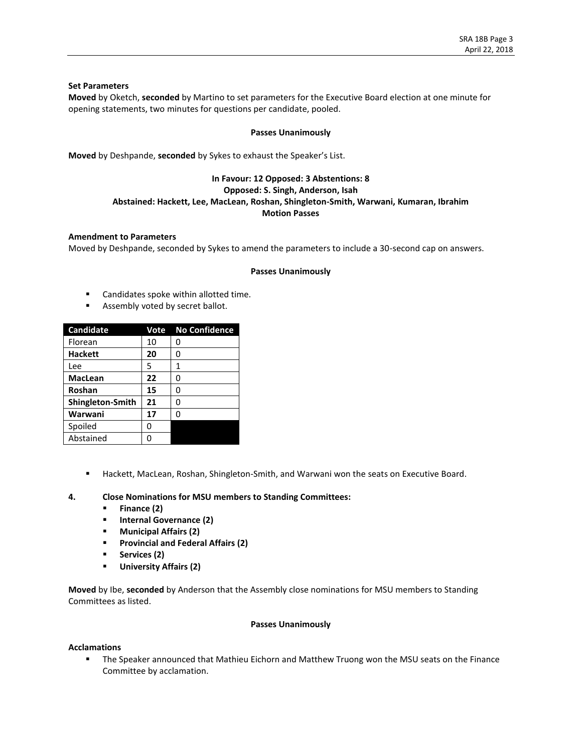### **Set Parameters**

**Moved** by Oketch, **seconded** by Martino to set parameters for the Executive Board election at one minute for opening statements, two minutes for questions per candidate, pooled.

#### **Passes Unanimously**

**Moved** by Deshpande, **seconded** by Sykes to exhaust the Speaker's List.

## **In Favour: 12 Opposed: 3 Abstentions: 8 Opposed: S. Singh, Anderson, Isah Abstained: Hackett, Lee, MacLean, Roshan, Shingleton-Smith, Warwani, Kumaran, Ibrahim Motion Passes**

### **Amendment to Parameters**

Moved by Deshpande, seconded by Sykes to amend the parameters to include a 30-second cap on answers.

#### **Passes Unanimously**

- Candidates spoke within allotted time.
- Assembly voted by secret ballot.

| Candidate        | Vote | <b>No Confidence</b> |
|------------------|------|----------------------|
| Florean          | 10   | ი                    |
| <b>Hackett</b>   | 20   | 0                    |
| Lee              | 5    | 1                    |
| <b>MacLean</b>   | 22   | ი                    |
| Roshan           | 15   | 0                    |
| Shingleton-Smith | 21   | ŋ                    |
| Warwani          | 17   | ი                    |
| Spoiled          | ი    |                      |
| Abstained        |      |                      |

■ Hackett, MacLean, Roshan, Shingleton-Smith, and Warwani won the seats on Executive Board.

### **4. Close Nominations for MSU members to Standing Committees:**

- **Finance (2)**
- **Internal Governance (2)**
- **Municipal Affairs (2)**
- **Provincial and Federal Affairs (2)**
- **Services (2)**
- **University Affairs (2)**

**Moved** by Ibe, **seconded** by Anderson that the Assembly close nominations for MSU members to Standing Committees as listed.

#### **Passes Unanimously**

### **Acclamations**

**■** The Speaker announced that Mathieu Eichorn and Matthew Truong won the MSU seats on the Finance Committee by acclamation.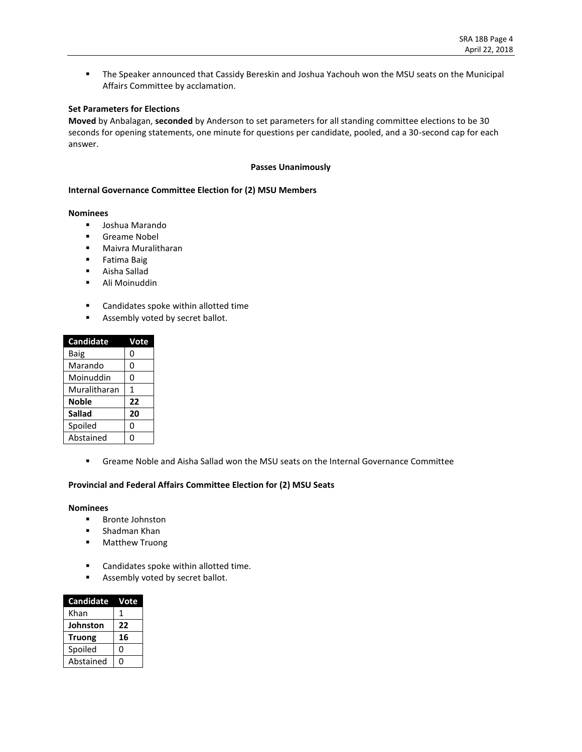■ The Speaker announced that Cassidy Bereskin and Joshua Yachouh won the MSU seats on the Municipal Affairs Committee by acclamation.

# **Set Parameters for Elections**

**Moved** by Anbalagan, **seconded** by Anderson to set parameters for all standing committee elections to be 30 seconds for opening statements, one minute for questions per candidate, pooled, and a 30-second cap for each answer.

### **Passes Unanimously**

#### **Internal Governance Committee Election for (2) MSU Members**

#### **Nominees**

- Joshua Marando
- Greame Nobel
- Maivra Muralitharan
- Fatima Baig
- Aisha Sallad
- Ali Moinuddin
- Candidates spoke within allotted time
- **■** Assembly voted by secret ballot.

| <b>Candidate</b> | Vote |
|------------------|------|
| Baig             | 0    |
| Marando          | 0    |
| Moinuddin        | 0    |
| Muralitharan     | 1    |
| Noble            | 22   |
| <b>Sallad</b>    | 20   |
| Spoiled          | 0    |
| Abstained        | በ    |

▪ Greame Noble and Aisha Sallad won the MSU seats on the Internal Governance Committee

## **Provincial and Federal Affairs Committee Election for (2) MSU Seats**

- Bronte Johnston
- Shadman Khan
- Matthew Truong
- Candidates spoke within allotted time.
- Assembly voted by secret ballot.

| <b>Candidate</b> | Vote |
|------------------|------|
| Khan             | 1    |
| Johnston         | 22   |
| <b>Truong</b>    | 16   |
| Spoiled          | O    |
| Abstained        | O    |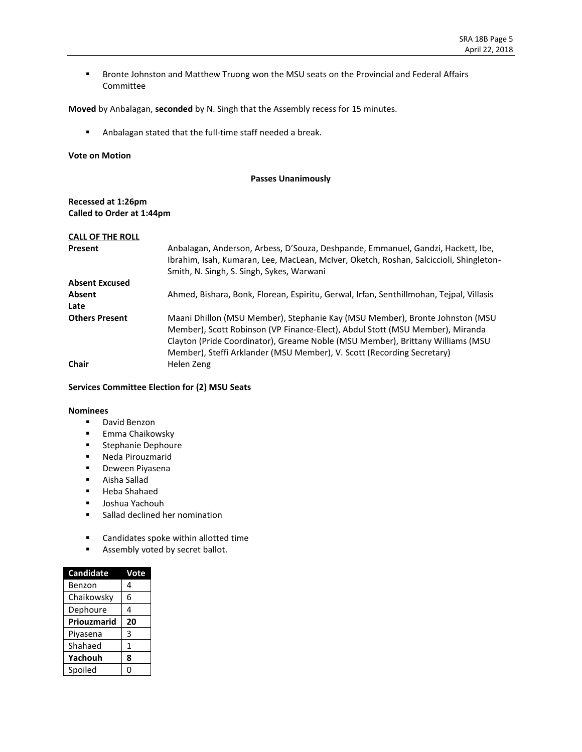**■** Bronte Johnston and Matthew Truong won the MSU seats on the Provincial and Federal Affairs Committee

**Moved** by Anbalagan, **seconded** by N. Singh that the Assembly recess for 15 minutes.

▪ Anbalagan stated that the full-time staff needed a break.

### **Vote on Motion**

### **Passes Unanimously**

## **Recessed at 1:26pm Called to Order at 1:44pm**

| <b>CALL OF THE ROLL</b> |                                                                                                                                                                                                                         |
|-------------------------|-------------------------------------------------------------------------------------------------------------------------------------------------------------------------------------------------------------------------|
| Present                 | Anbalagan, Anderson, Arbess, D'Souza, Deshpande, Emmanuel, Gandzi, Hackett, Ibe,<br>Ibrahim, Isah, Kumaran, Lee, MacLean, McIver, Oketch, Roshan, Salciccioli, Shingleton-<br>Smith, N. Singh, S. Singh, Sykes, Warwani |
| <b>Absent Excused</b>   |                                                                                                                                                                                                                         |
| Absent                  | Ahmed, Bishara, Bonk, Florean, Espiritu, Gerwal, Irfan, Senthillmohan, Tejpal, Villasis                                                                                                                                 |
| Late                    |                                                                                                                                                                                                                         |
| <b>Others Present</b>   | Maani Dhillon (MSU Member), Stephanie Kay (MSU Member), Bronte Johnston (MSU                                                                                                                                            |
|                         | Member), Scott Robinson (VP Finance-Elect), Abdul Stott (MSU Member), Miranda                                                                                                                                           |
|                         | Clayton (Pride Coordinator), Greame Noble (MSU Member), Brittany Williams (MSU                                                                                                                                          |
|                         | Member), Steffi Arklander (MSU Member), V. Scott (Recording Secretary)                                                                                                                                                  |
| <b>Chair</b>            | Helen Zeng                                                                                                                                                                                                              |

### **Services Committee Election for (2) MSU Seats**

- David Benzon
- Emma Chaikowsky
- Stephanie Dephoure
- Neda Pirouzmarid
- Deween Piyasena
- Aisha Sallad
- Heba Shahaed
- Joshua Yachouh
- Sallad declined her nomination
- Candidates spoke within allotted time
- **EXECUTE:** Assembly voted by secret ballot.

| <b>Candidate</b> | Vote |
|------------------|------|
| Benzon           | 4    |
| Chaikowsky       | 6    |
| Dephoure         | 4    |
| Priouzmarid      | 20   |
| Piyasena         | 3    |
| Shahaed          | 1    |
| Yachouh          | 8    |
| Spoiled          | ი    |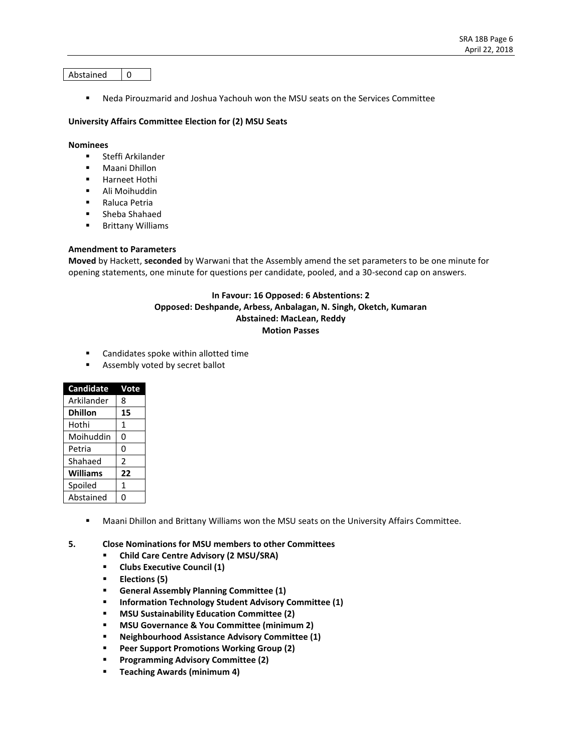#### Abstained  $\begin{array}{|c|c|}$  0

▪ Neda Pirouzmarid and Joshua Yachouh won the MSU seats on the Services Committee

#### **University Affairs Committee Election for (2) MSU Seats**

#### **Nominees**

- Steffi Arkilander
- Maani Dhillon
- Harneet Hothi
- Ali Moihuddin
- Raluca Petria
- Sheba Shahaed
- Brittany Williams

## **Amendment to Parameters**

**Moved** by Hackett, **seconded** by Warwani that the Assembly amend the set parameters to be one minute for opening statements, one minute for questions per candidate, pooled, and a 30-second cap on answers.

## **In Favour: 16 Opposed: 6 Abstentions: 2 Opposed: Deshpande, Arbess, Anbalagan, N. Singh, Oketch, Kumaran Abstained: MacLean, Reddy Motion Passes**

- Candidates spoke within allotted time
- Assembly voted by secret ballot

| <b>Candidate</b> | Vote           |
|------------------|----------------|
| Arkilander       | 8              |
| <b>Dhillon</b>   | 15             |
| Hothi            | 1              |
| Moihuddin        | 0              |
| Petria           | 0              |
| Shahaed          | $\overline{2}$ |
| <b>Williams</b>  | 22             |
| Spoiled          | 1              |
| Abstained        | Π              |

- **■** Maani Dhillon and Brittany Williams won the MSU seats on the University Affairs Committee.
- **5. Close Nominations for MSU members to other Committees**
	- **Child Care Centre Advisory (2 MSU/SRA)**
	- **Clubs Executive Council (1)**
	- **Elections (5)**
	- **General Assembly Planning Committee (1)**
	- **Information Technology Student Advisory Committee (1)**
	- **MSU Sustainability Education Committee (2)**
	- **MSU Governance & You Committee (minimum 2)**
	- **Neighbourhood Assistance Advisory Committee (1)**
	- **Peer Support Promotions Working Group (2)**
	- **Programming Advisory Committee (2)**
	- **Teaching Awards (minimum 4)**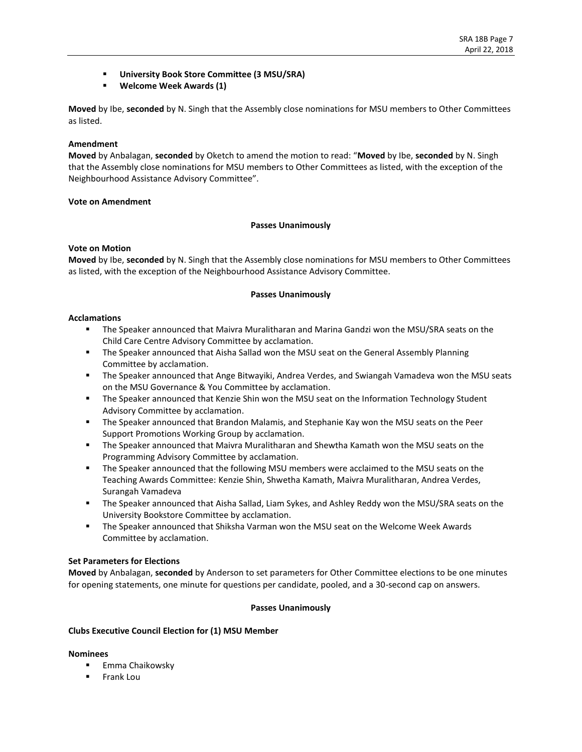- **University Book Store Committee (3 MSU/SRA)**
- **Welcome Week Awards (1)**

**Moved** by Ibe, **seconded** by N. Singh that the Assembly close nominations for MSU members to Other Committees as listed.

### **Amendment**

**Moved** by Anbalagan, **seconded** by Oketch to amend the motion to read: "**Moved** by Ibe, **seconded** by N. Singh that the Assembly close nominations for MSU members to Other Committees as listed, with the exception of the Neighbourhood Assistance Advisory Committee".

## **Vote on Amendment**

## **Passes Unanimously**

### **Vote on Motion**

**Moved** by Ibe, **seconded** by N. Singh that the Assembly close nominations for MSU members to Other Committees as listed, with the exception of the Neighbourhood Assistance Advisory Committee.

## **Passes Unanimously**

## **Acclamations**

- **■** The Speaker announced that Maivra Muralitharan and Marina Gandzi won the MSU/SRA seats on the Child Care Centre Advisory Committee by acclamation.
- **The Speaker announced that Aisha Sallad won the MSU seat on the General Assembly Planning** Committee by acclamation.
- The Speaker announced that Ange Bitwayiki, Andrea Verdes, and Swiangah Vamadeva won the MSU seats on the MSU Governance & You Committee by acclamation.
- The Speaker announced that Kenzie Shin won the MSU seat on the Information Technology Student Advisory Committee by acclamation.
- **■** The Speaker announced that Brandon Malamis, and Stephanie Kay won the MSU seats on the Peer Support Promotions Working Group by acclamation.
- **■** The Speaker announced that Maivra Muralitharan and Shewtha Kamath won the MSU seats on the Programming Advisory Committee by acclamation.
- **The Speaker announced that the following MSU members were acclaimed to the MSU seats on the** Teaching Awards Committee: Kenzie Shin, Shwetha Kamath, Maivra Muralitharan, Andrea Verdes, Surangah Vamadeva
- **EXECT** The Speaker announced that Aisha Sallad, Liam Sykes, and Ashley Reddy won the MSU/SRA seats on the University Bookstore Committee by acclamation.
- **■** The Speaker announced that Shiksha Varman won the MSU seat on the Welcome Week Awards Committee by acclamation.

### **Set Parameters for Elections**

**Moved** by Anbalagan, **seconded** by Anderson to set parameters for Other Committee elections to be one minutes for opening statements, one minute for questions per candidate, pooled, and a 30-second cap on answers.

## **Passes Unanimously**

### **Clubs Executive Council Election for (1) MSU Member**

- Emma Chaikowsky
- **Frank Lou**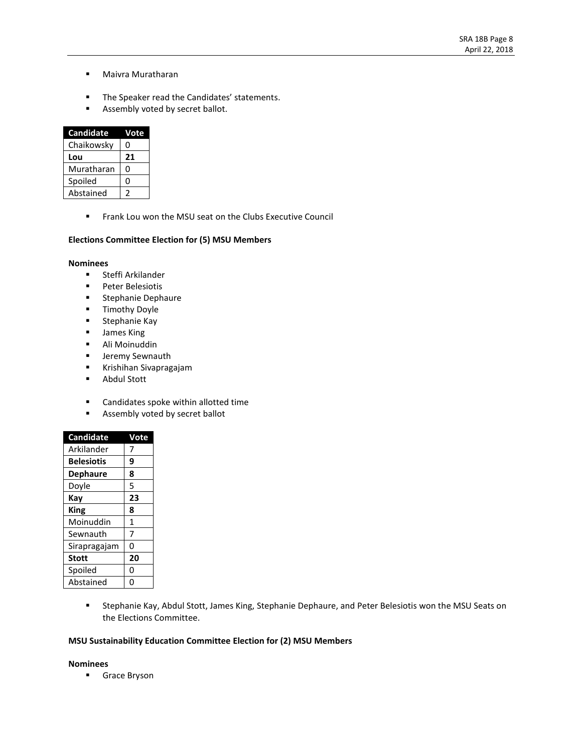- Maivra Muratharan
- The Speaker read the Candidates' statements.
- **■** Assembly voted by secret ballot.

| <b>Candidate</b> | Vote |
|------------------|------|
| Chaikowsky       | 0    |
| Lou              | 21   |
| Muratharan       | 0    |
| Spoiled          | 0    |
| Abstained        | 2    |

■ Frank Lou won the MSU seat on the Clubs Executive Council

## **Elections Committee Election for (5) MSU Members**

#### **Nominees**

- Steffi Arkilander
- Peter Belesiotis
- Stephanie Dephaure
- **■** Timothy Doyle
- **■** Stephanie Kay
- James King
- Ali Moinuddin
- **■** Jeremy Sewnauth
- Krishihan Sivapragajam
- Abdul Stott
- Candidates spoke within allotted time
- Assembly voted by secret ballot

| <b>Candidate</b>  | ote          |
|-------------------|--------------|
| Arkilander        |              |
| <b>Belesiotis</b> | 9            |
| <b>Dephaure</b>   | 8            |
| Doyle             | 5            |
| Kay               | 23           |
| <b>King</b>       | 8            |
| Moinuddin         | $\mathbf{1}$ |
| Sewnauth          | 7            |
| Sirapragajam      | 0            |
| <b>Stott</b>      | 20           |
| Spoiled           | 0            |
| Abstained         | በ            |

■ Stephanie Kay, Abdul Stott, James King, Stephanie Dephaure, and Peter Belesiotis won the MSU Seats on the Elections Committee.

## **MSU Sustainability Education Committee Election for (2) MSU Members**

#### **Nominees**

■ Grace Bryson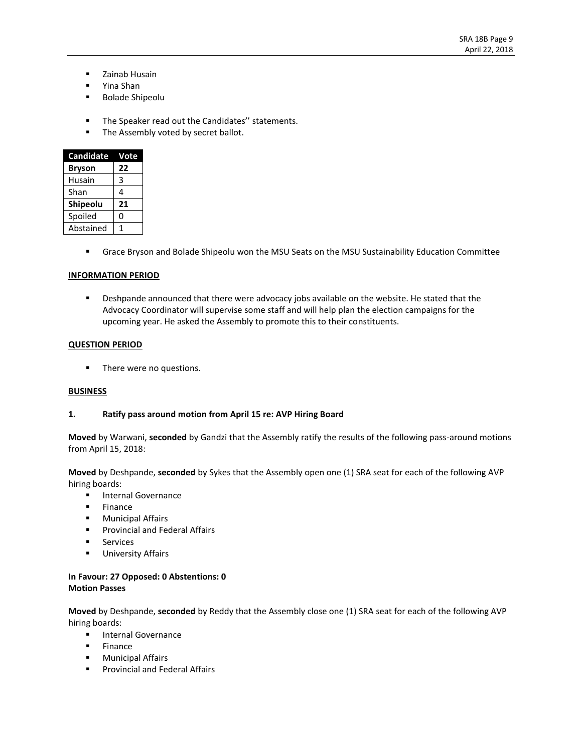- Zainab Husain
- Yina Shan
- Bolade Shipeolu
- The Speaker read out the Candidates" statements.
- The Assembly voted by secret ballot.

| <b>Candidate</b> | Vote |
|------------------|------|
| <b>Bryson</b>    | 22   |
| Husain           | 3    |
| Shan             | 4    |
| Shipeolu         | 21   |
| Spoiled          | 0    |
| Abstained        |      |

▪ Grace Bryson and Bolade Shipeolu won the MSU Seats on the MSU Sustainability Education Committee

### **INFORMATION PERIOD**

**EXECT** Deshpande announced that there were advocacy jobs available on the website. He stated that the Advocacy Coordinator will supervise some staff and will help plan the election campaigns for the upcoming year. He asked the Assembly to promote this to their constituents.

### **QUESTION PERIOD**

**•** There were no questions.

## **BUSINESS**

### **1. Ratify pass around motion from April 15 re: AVP Hiring Board**

**Moved** by Warwani, **seconded** by Gandzi that the Assembly ratify the results of the following pass-around motions from April 15, 2018:

**Moved** by Deshpande, **seconded** by Sykes that the Assembly open one (1) SRA seat for each of the following AVP hiring boards:

- **■** Internal Governance
- **Finance**
- Municipal Affairs
- Provincial and Federal Affairs
- Services
- **■** University Affairs

## **In Favour: 27 Opposed: 0 Abstentions: 0 Motion Passes**

**Moved** by Deshpande, **seconded** by Reddy that the Assembly close one (1) SRA seat for each of the following AVP hiring boards:

- Internal Governance
- Finance
- **■** Municipal Affairs
- **•** Provincial and Federal Affairs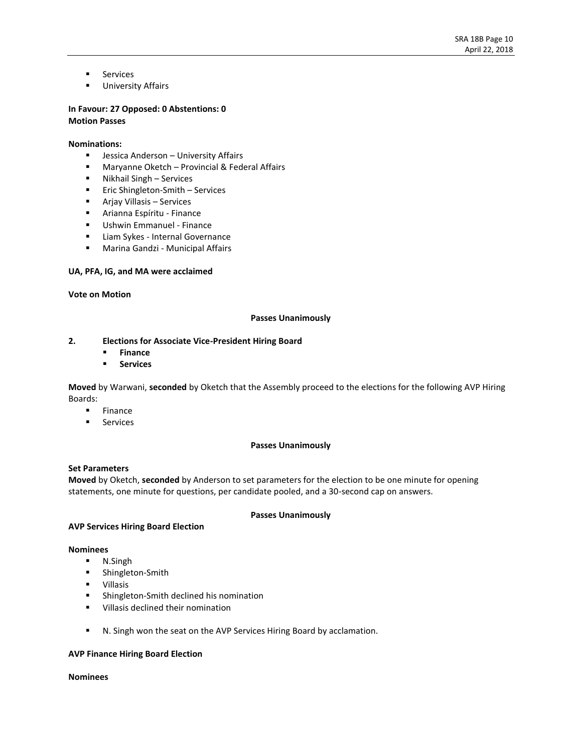- Services
- **■** University Affairs

### **In Favour: 27 Opposed: 0 Abstentions: 0 Motion Passes**

### **Nominations:**

- **■** Jessica Anderson University Affairs
- Maryanne Oketch Provincial & Federal Affairs
- Nikhail Singh Services
- Eric Shingleton-Smith Services
- Arjay Villasis Services
- Arianna Espíritu Finance
- Ushwin Emmanuel Finance
- Liam Sykes Internal Governance
- Marina Gandzi Municipal Affairs

### **UA, PFA, IG, and MA were acclaimed**

#### **Vote on Motion**

### **Passes Unanimously**

### **2. Elections for Associate Vice-President Hiring Board**

- **Finance**
- **Services**

**Moved** by Warwani, **seconded** by Oketch that the Assembly proceed to the elections for the following AVP Hiring Boards:

- Finance
- **Services**

#### **Passes Unanimously**

#### **Set Parameters**

**Moved** by Oketch, **seconded** by Anderson to set parameters for the election to be one minute for opening statements, one minute for questions, per candidate pooled, and a 30-second cap on answers.

### **Passes Unanimously**

### **AVP Services Hiring Board Election**

#### **Nominees**

- N.Singh
- Shingleton-Smith
- Villasis
- Shingleton-Smith declined his nomination
- Villasis declined their nomination
- N. Singh won the seat on the AVP Services Hiring Board by acclamation.

### **AVP Finance Hiring Board Election**